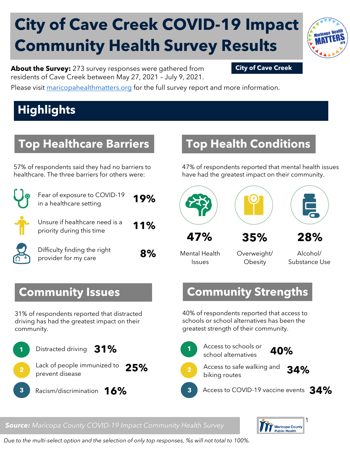# **City of Cave Creek COVID-19 Impact Community Health Survey Results**



**About the Survey:** 273 survey responses were gathered from **City of Cave Creek** residents of Cave Creek between May 27, 2021 – July 9, 2021.

Please visit [maricopahealthmatters.org](https://www.maricopa.gov/5100/Health-Data-Maricopa-Health-Matters) for the full survey report and more information.

## **Highlights**

### **Top Healthcare Barriers**

57% of respondents said they had no barriers to healthcare. The three barriers for others were:

| Fear of exposure to COVID-19<br>in a healthcare setting     | 19% |
|-------------------------------------------------------------|-----|
| Unsure if healthcare need is a<br>priority during this time | 11% |
| Difficulty finding the right<br>provider for my care        |     |

### **Top Health Conditions**

47% of respondents reported that mental health issues have had the greatest impact on their community.



Mental Health Issues

Overweight/ **Obesity** 

Alcohol/ Substance Use

### **Community Issues**

31% of respondents reported that distracted driving has had the greatest impact on their community.



### **Community Strengths**

40% of respondents reported that access to schools or school alternatives has been the greatest strength of their community.

**1**

**3**





biking routes **2**

Access to safe walking and **34%**

Access to COVID-19 vaccine events **34%**



### *Source: Maricopa County COVID-19 Impact Community Health Survey*

*Due to the multi-select option and the selection of only top responses, %s will not total to 100%.*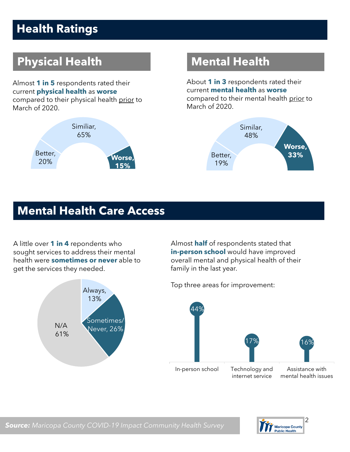## **Health Ratings**

## **Physical Health Mental Health**

Almost **1 in 5** respondents rated their current **physical health** as **worse** compared to their physical health prior to March of 2020.



About **1 in 3** respondents rated their current **mental health** as **worse** compared to their mental health prior to March of 2020.



### **Mental Health Care Access**

A little over **1 in 4** repondents who sought services to address their mental health were **sometimes or never** able to get the services they needed.



Almost **half** of respondents stated that **in-person school** would have improved overall mental and physical health of their family in the last year.





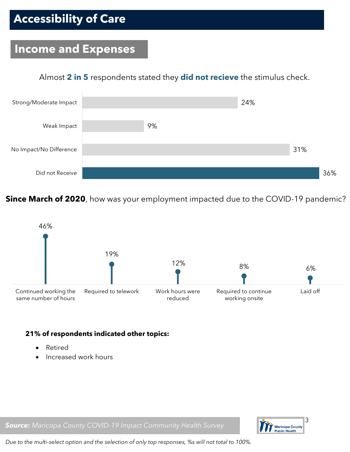## **Accessibility of Care**

### **Income and Expenses**

### Almost **2 in 5** respondents stated they **did not recieve** the stimulus check.



**Since March of 2020**, how was your employment impacted due to the COVID-19 pandemic?



### **21% of respondents indicated other topics:**

- Retired
- Increased work hours



*Source: Maricopa County COVID-19 Impact Community Health Survey*

*Due to the multi-select option and the selection of only top responses, %s will not total to 100%.*